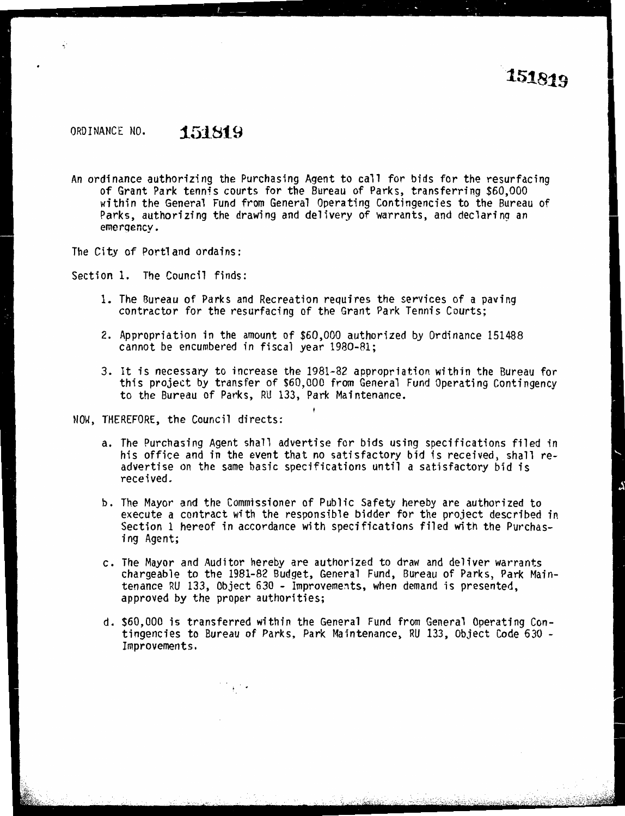## ORDINANCE NO. **151819**

An ordinance authorizing the Purchasing Agent to call for bids for the resurfacing of Grant Park tennis courts for the Bureau of Parks, transferring \$60,000 within the General Fund from General Operating Contingencies to the Bureau of Parks, authorizing the drawing and delivery of warrants, and declaring an emergency.

The City of Portland ordains:

Section 1. The Council finds:

- 1. The Bureau of Parks and Recreation requires the services of a paving contractor for the resurfacing of the Grant Park Tennis Courts;
- 2. Appropriation in the amount of \$60,000 authorized by Ordinance 151488 cannot be encumbered in fiscal year 1980-81;
- 3. It is necessary to increase the 1981-82 appropriation within the Bureau for this project by transfer of \$60,000 from General Fund Operating Contingency to the Bureau of Parks, RU 133, Park Maintenance.

NOW, THEREFORE, the Council directs:

- a. The Purchasing Agent shall advertise for bids using specifications filed in his office and in the event that no satisfactory bid is received, shall readvertise on the same basic specifications until a satisfactory bid is received.
- b. The Mayor and the Commissioner of Public Safety hereby are authorized to execute a contract with the responsible bidder for the project described in Section 1 hereof in accordance with specifications filed with the Purchasing Agent;
- c. The Mayor and Auditor hereby are authorized to draw and deliver warrants chargeable to the 1981-82 Budget, General Fund, Bureau of Parks, Park Maintenance RU 133, Object 630 - Improvements, when demand is presented, approved by the proper authorities;
- d. \$60,000 is transferred within the General Fund from General Operating Contingencies to Bureau of Parks, Park Maintenance, RU 133, Object Code 630 - Improvements.

 $\mathcal{A} \subset \mathcal{A}$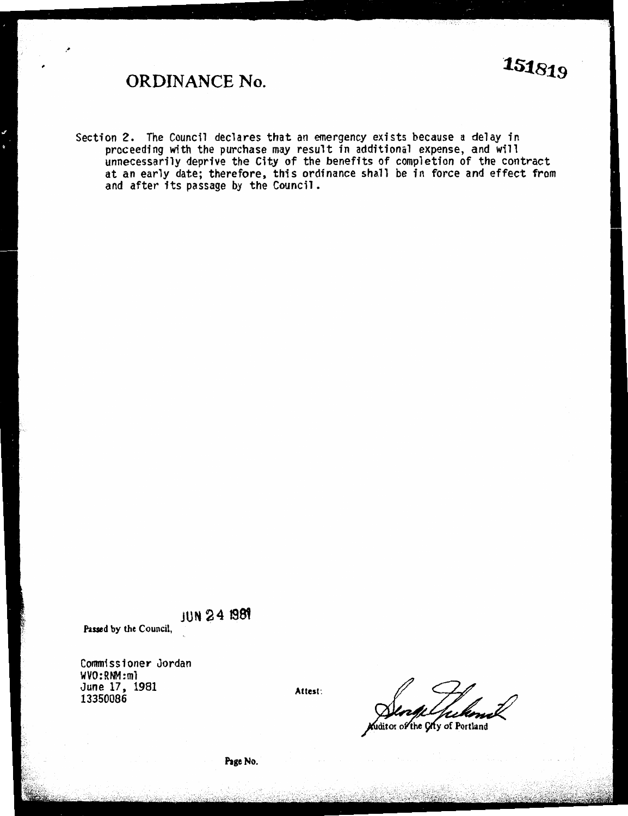## ORDINANCE No.

Section 2. The Council declares that an emergency exists because a delay in proceeding with the purchase may result in additional expense, and will unnecessarily deprive the City of the benefits of completion of the contract at an early date; therefore, this ordinance shall be in force and effect from and after its passage by the Council.

JUN 24 1981

Passed by the Council,

Commissioner Jordan<br>WVO:RNM:ml  $m_0$ . 17 10 UNE 17, 1901<br>UNE 17, 1901 13350086

Attest:

ditor of the City of Portland